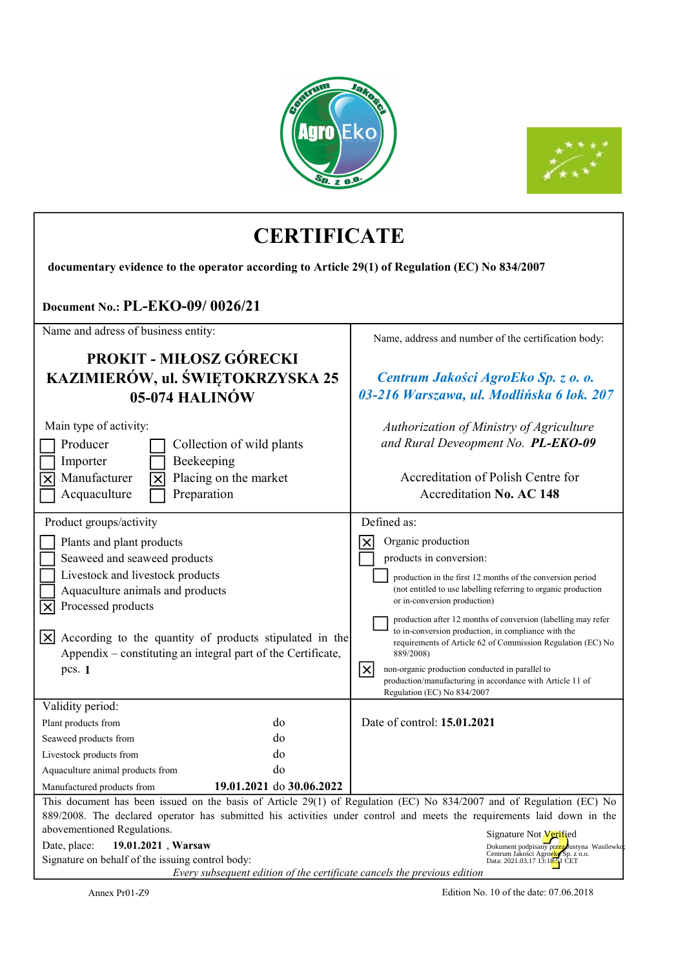



| <b>CERTIFICATE</b>                                                                                                                                                                                                                                                                                                                                                                                                                                  |                                                                                                                                                                                                                                                                                                                                                                                                                     |  |  |  |
|-----------------------------------------------------------------------------------------------------------------------------------------------------------------------------------------------------------------------------------------------------------------------------------------------------------------------------------------------------------------------------------------------------------------------------------------------------|---------------------------------------------------------------------------------------------------------------------------------------------------------------------------------------------------------------------------------------------------------------------------------------------------------------------------------------------------------------------------------------------------------------------|--|--|--|
| documentary evidence to the operator according to Article 29(1) of Regulation (EC) No 834/2007                                                                                                                                                                                                                                                                                                                                                      |                                                                                                                                                                                                                                                                                                                                                                                                                     |  |  |  |
| Document No.: PL-EKO-09/0026/21                                                                                                                                                                                                                                                                                                                                                                                                                     |                                                                                                                                                                                                                                                                                                                                                                                                                     |  |  |  |
| Name and adress of business entity:<br><b>PROKIT - MIŁOSZ GÓRECKI</b>                                                                                                                                                                                                                                                                                                                                                                               | Name, address and number of the certification body:                                                                                                                                                                                                                                                                                                                                                                 |  |  |  |
| KAZIMIERÓW, ul. ŚWIĘTOKRZYSKA 25<br>05-074 HALINÓW                                                                                                                                                                                                                                                                                                                                                                                                  | Centrum Jakości AgroEko Sp. z o. o.<br>03-216 Warszawa, ul. Modlińska 6 lok. 207                                                                                                                                                                                                                                                                                                                                    |  |  |  |
| Main type of activity:<br>Producer<br>Collection of wild plants<br>Importer<br>Beekeeping<br>Manufacturer<br>Placing on the market<br>Preparation<br>Acquaculture                                                                                                                                                                                                                                                                                   | Authorization of Ministry of Agriculture<br>and Rural Deveopment No. PL-EKO-09<br>Accreditation of Polish Centre for<br>Accreditation No. AC 148                                                                                                                                                                                                                                                                    |  |  |  |
| Product groups/activity<br>Plants and plant products<br>Seaweed and seaweed products<br>Livestock and livestock products<br>Aquaculture animals and products<br>Γx<br>Processed products<br>$\mathsf{X}$<br>According to the quantity of products stipulated in the                                                                                                                                                                                 | Defined as:<br>Organic production<br>products in conversion:<br>production in the first 12 months of the conversion period<br>(not entitled to use labelling referring to organic production<br>or in-conversion production)<br>production after 12 months of conversion (labelling may refer<br>to in-conversion production, in compliance with the<br>requirements of Article 62 of Commission Regulation (EC) No |  |  |  |
| Appendix – constituting an integral part of the Certificate,<br>pcs. 1                                                                                                                                                                                                                                                                                                                                                                              | 889/2008)<br>$ \mathsf{x} $<br>non-organic production conducted in parallel to<br>production/manufacturing in accordance with Article 11 of<br>Regulation (EC) No 834/2007                                                                                                                                                                                                                                          |  |  |  |
| Validity period:<br>do<br>Plant products from<br>do<br>Seaweed products from<br>do<br>Livestock products from<br>do<br>Aquaculture animal products from<br>19.01.2021 do 30.06.2022<br>Manufactured products from                                                                                                                                                                                                                                   | Date of control: <b>15.01.2021</b>                                                                                                                                                                                                                                                                                                                                                                                  |  |  |  |
| This document has been issued on the basis of Article 29(1) of Regulation (EC) No 834/2007 and of Regulation (EC) No<br>889/2008. The declared operator has submitted his activities under control and meets the requirements laid down in the<br>abovementioned Regulations.<br>Date, place:<br>19.01.2021, Warsaw<br>Signature on behalf of the issuing control body:<br>Every subsequent edition of the certificate cancels the previous edition | Signature Not <b>Verified</b><br>Dokument podpisany przez Justyna Wasilewko<br>Centrum Jako ci Agroeks Sp. z o.o.<br>Data: 2021.03.17 13:18:51 CET                                                                                                                                                                                                                                                                  |  |  |  |